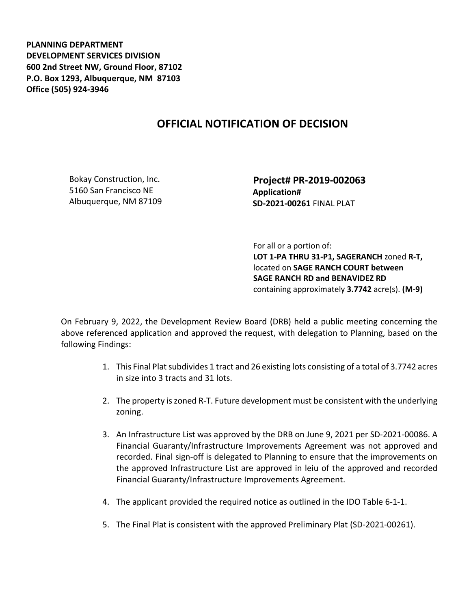**PLANNING DEPARTMENT DEVELOPMENT SERVICES DIVISION 600 2nd Street NW, Ground Floor, 87102 P.O. Box 1293, Albuquerque, NM 87103 Office (505) 924-3946** 

## **OFFICIAL NOTIFICATION OF DECISION**

Bokay Construction, Inc. 5160 San Francisco NE Albuquerque, NM 87109  **Project# PR-2019-002063 Application# SD-2021-00261** FINAL PLAT

 For all or a portion of: **LOT 1-PA THRU 31-P1, SAGERANCH** zoned **R-T,**  located on **SAGE RANCH COURT between SAGE RANCH RD and BENAVIDEZ RD**  containing approximately **3.7742** acre(s). **(M-9)**

On February 9, 2022, the Development Review Board (DRB) held a public meeting concerning the above referenced application and approved the request, with delegation to Planning, based on the following Findings:

- 1. This Final Plat subdivides 1 tract and 26 existing lots consisting of a total of 3.7742 acres in size into 3 tracts and 31 lots.
- 2. The property is zoned R-T. Future development must be consistent with the underlying zoning.
- 3. An Infrastructure List was approved by the DRB on June 9, 2021 per SD-2021-00086. A Financial Guaranty/Infrastructure Improvements Agreement was not approved and recorded. Final sign-off is delegated to Planning to ensure that the improvements on the approved Infrastructure List are approved in leiu of the approved and recorded Financial Guaranty/Infrastructure Improvements Agreement.
- 4. The applicant provided the required notice as outlined in the IDO Table 6-1-1.
- 5. The Final Plat is consistent with the approved Preliminary Plat (SD-2021-00261).